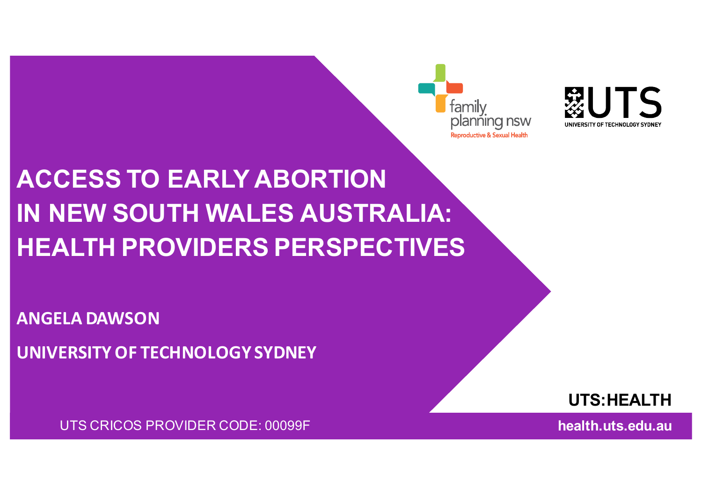familv planñing nsw productive & Sexual Health



# **ACCESS TO EARLY ABORTION IN NEW SOUTH WALES AUSTRALIA: HEALTH PROVIDERS PERSPECTIVES**

**ANGELA DAWSON** 

**UNIVERSITY OF TECHNOLOGY SYDNEY**

UTS CRICOS PROVIDER CODE: 00099F

**UTS:HEALTH**

**health.uts.edu.au**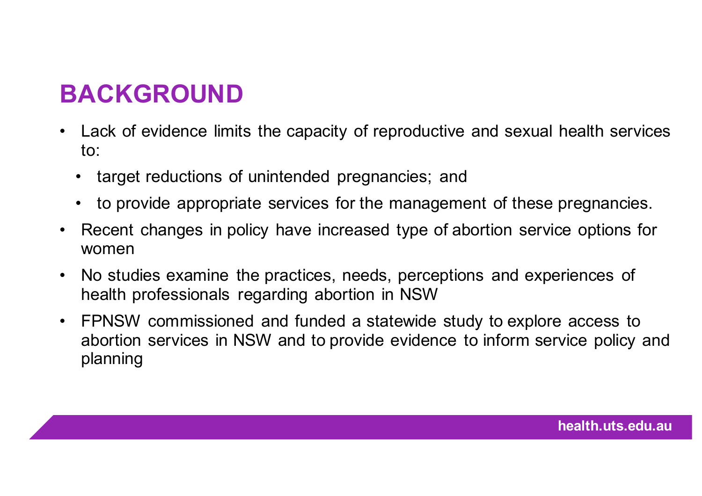## **BACKGROUND**

- Lack of evidence limits the capacity of reproductive and sexual health services to:
	- target reductions of unintended pregnancies; and
	- to provide appropriate services for the management of these pregnancies.
- Recent changes in policy have increased type of abortion service options for women
- No studies examine the practices, needs, perceptions and experiences of health professionals regarding abortion in NSW
- FPNSW commissioned and funded a statewide study to explore access to abortion services in NSW and to provide evidence to inform service policy and planning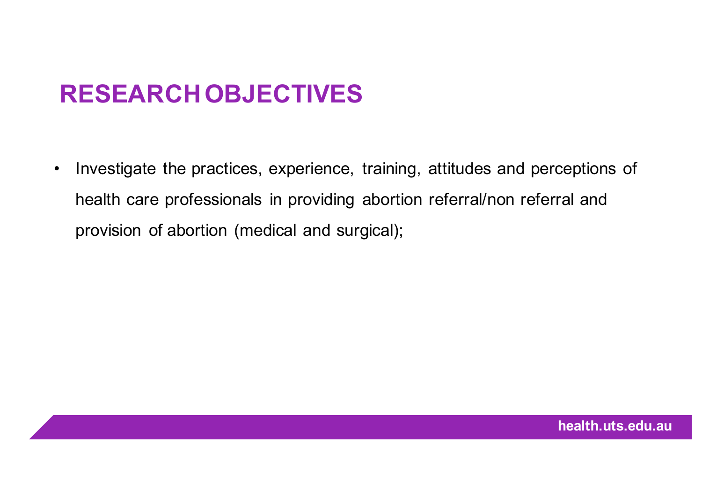### **RESEARCH OBJECTIVES**

• Investigate the practices, experience, training, attitudes and perceptions of health care professionals in providing abortion referral/non referral and provision of abortion (medical and surgical);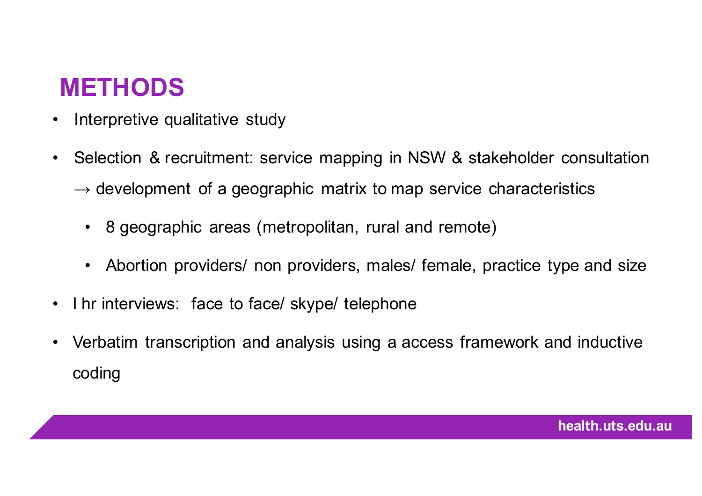#### **METHODS**

- Interpretive qualitative study
- Selection & recruitment: service mapping in NSW & stakeholder consultation  $\rightarrow$  development of a geographic matrix to map service characteristics
	- 8 geographic areas (metropolitan, rural and remote)
	- Abortion providers/ non providers, males/ female, practice type and size
- I hr interviews: face to face/ skype/ telephone
- Verbatim transcription and analysis using a access framework and inductive coding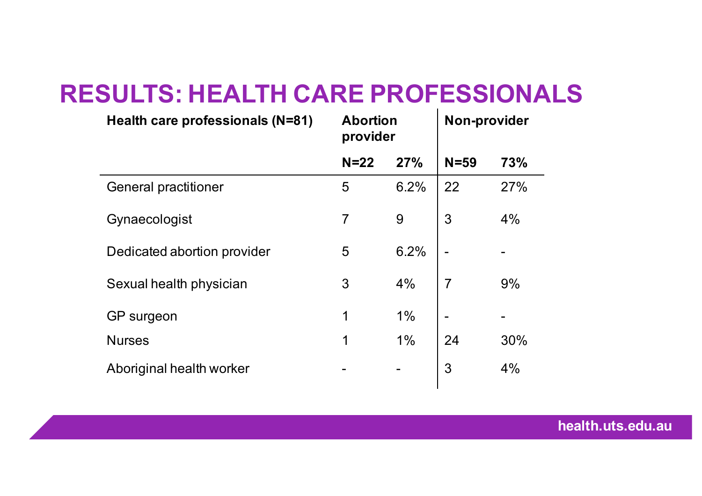#### **RESULTS: HEALTH CARE PROFESSIONALS**

| Health care professionals (N=81) | <b>Abortion</b><br>provider |      | <b>Non-provider</b> |     |
|----------------------------------|-----------------------------|------|---------------------|-----|
|                                  | $N=22$                      | 27%  | $N = 59$            | 73% |
| <b>General practitioner</b>      | 5                           | 6.2% | 22                  | 27% |
| Gynaecologist                    | $\overline{7}$              | 9    | 3                   | 4%  |
| Dedicated abortion provider      | 5                           | 6.2% |                     |     |
| Sexual health physician          | 3                           | 4%   | 7                   | 9%  |
| GP surgeon                       | 1                           | 1%   |                     |     |
| <b>Nurses</b>                    | 1                           | 1%   | 24                  | 30% |
| Aboriginal health worker         |                             |      | 3                   | 4%  |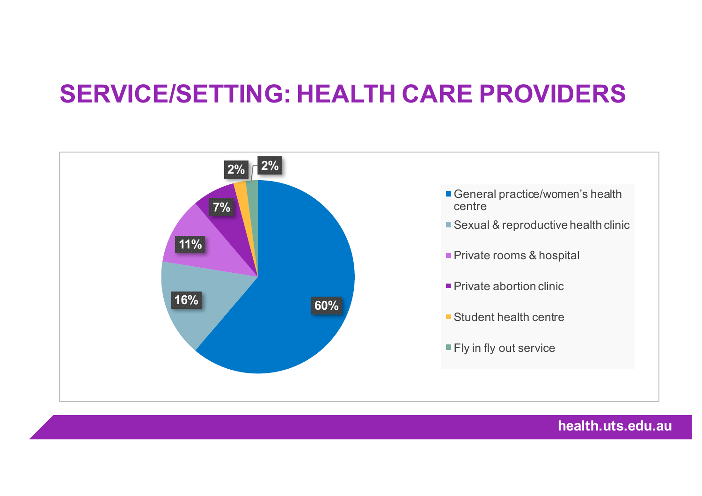#### **SERVICE/SETTING: HEALTH CARE PROVIDERS**



**health.uts.edu.au**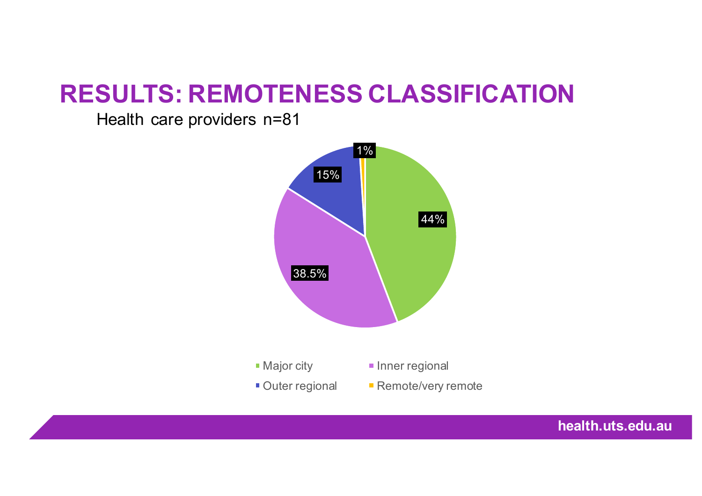#### **RESULTS: REMOTENESS CLASSIFICATION**

Health care providers n=81



**health.uts.edu.au**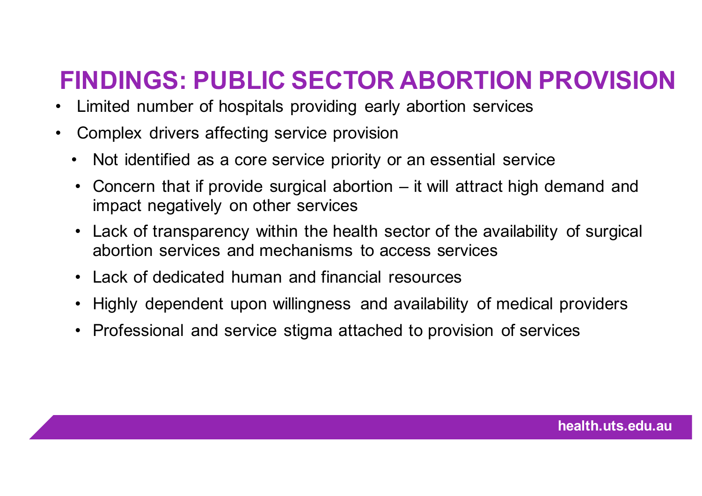## **FINDINGS: PUBLIC SECTOR ABORTION PROVISION**

- Limited number of hospitals providing early abortion services
- Complex drivers affecting service provision
	- Not identified as a core service priority or an essential service
	- Concern that if provide surgical abortion it will attract high demand and impact negatively on other services
	- Lack of transparency within the health sector of the availability of surgical abortion services and mechanisms to access services
	- Lack of dedicated human and financial resources
	- Highly dependent upon willingness and availability of medical providers
	- Professional and service stigma attached to provision of services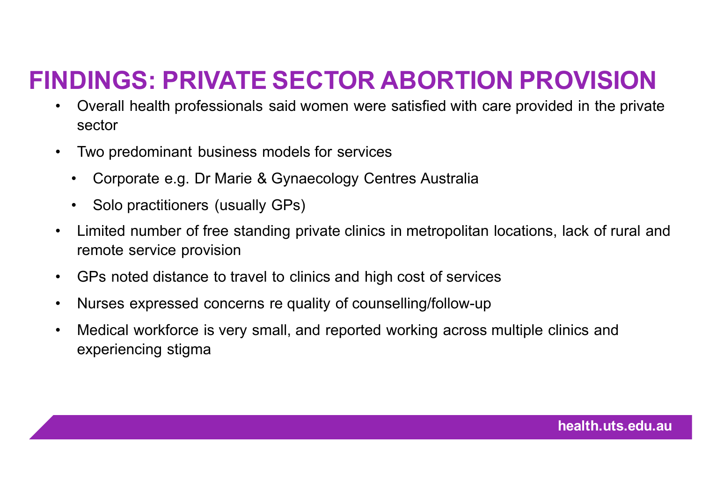## **FINDINGS: PRIVATE SECTOR ABORTION PROVISION**

- Overall health professionals said women were satisfied with care provided in the private sector
- Two predominant business models for services
	- Corporate e.g. Dr Marie & Gynaecology Centres Australia
	- Solo practitioners (usually GPs)
- Limited number of free standing private clinics in metropolitan locations, lack of rural and remote service provision
- GPs noted distance to travel to clinics and high cost of services
- Nurses expressed concerns re quality of counselling/follow-up
- Medical workforce is very small, and reported working across multiple clinics and experiencing stigma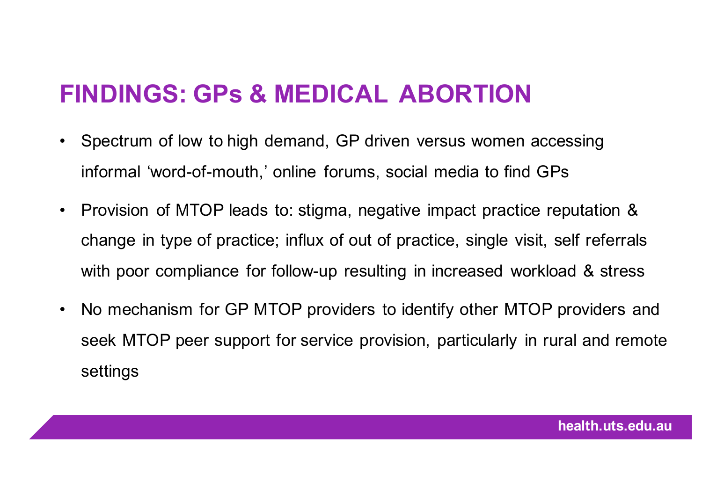#### **FINDINGS: GPs & MEDICAL ABORTION**

- Spectrum of low to high demand, GP driven versus women accessing informal 'word-of-mouth,' online forums, social media to find GPs
- Provision of MTOP leads to: stigma, negative impact practice reputation & change in type of practice; influx of out of practice, single visit, self referrals with poor compliance for follow-up resulting in increased workload & stress
- No mechanism for GP MTOP providers to identify other MTOP providers and seek MTOP peer support for service provision, particularly in rural and remote settings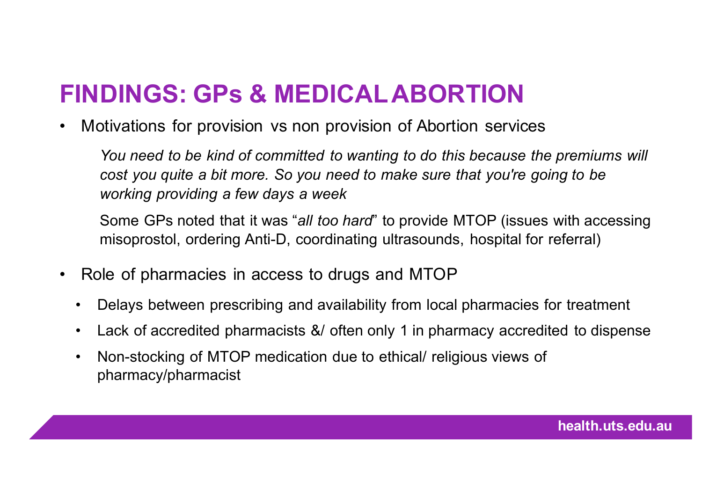### **FINDINGS: GPs & MEDICAL ABORTION**

• Motivations for provision vs non provision of Abortion services

*You need to be kind of committed to wanting to do this because the premiums will cost you quite a bit more. So you need to make sure that you're going to be working providing a few days a week* 

Some GPs noted that it was "*all too hard*" to provide MTOP (issues with accessing misoprostol, ordering Anti-D, coordinating ultrasounds, hospital for referral)

- Role of pharmacies in access to drugs and MTOP
	- Delays between prescribing and availability from local pharmacies for treatment
	- Lack of accredited pharmacists &/ often only 1 in pharmacy accredited to dispense
	- Non-stocking of MTOP medication due to ethical/ religious views of pharmacy/pharmacist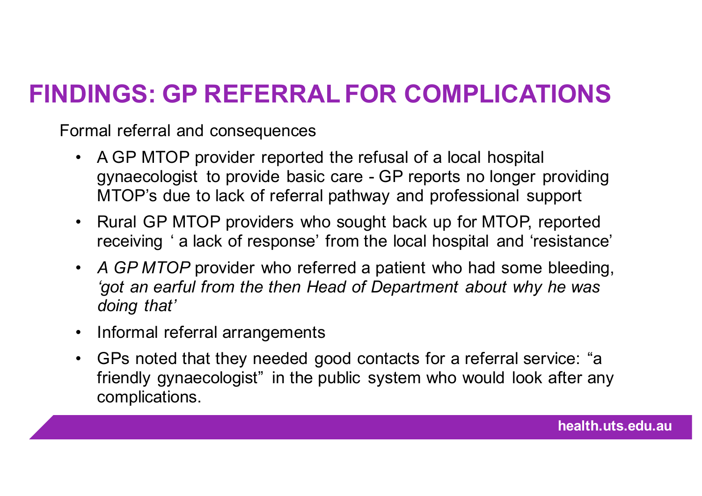## **FINDINGS: GP REFERRAL FOR COMPLICATIONS**

Formal referral and consequences

- A GP MTOP provider reported the refusal of a local hospital gynaecologist to provide basic care - GP reports no longer providing MTOP's due to lack of referral pathway and professional support
- Rural GP MTOP providers who sought back up for MTOP, reported receiving ' a lack of response' from the local hospital and 'resistance'
- *A GP MTOP* provider who referred a patient who had some bleeding, *'got an earful from the then Head of Department about why he was doing that'*
- Informal referral arrangements
- GPs noted that they needed good contacts for a referral service: "a friendly gynaecologist" in the public system who would look after any complications.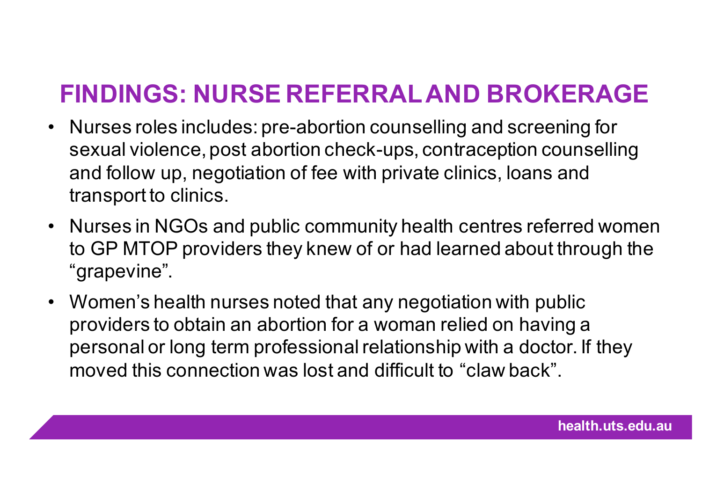### **FINDINGS: NURSE REFERRAL AND BROKERAGE**

- Nurses roles includes: pre-abortion counselling and screening for sexual violence, post abortion check-ups, contraception counselling and follow up, negotiation of fee with private clinics, loans and transport to clinics.
- Nurses in NGOs and public community health centres referred women to GP MTOP providers they knew of or had learned about through the "grapevine".
- Women's health nurses noted that any negotiation with public providers to obtain an abortion for a woman relied on having a personal or long term professional relationship with a doctor. If they moved this connection was lost and difficult to "claw back".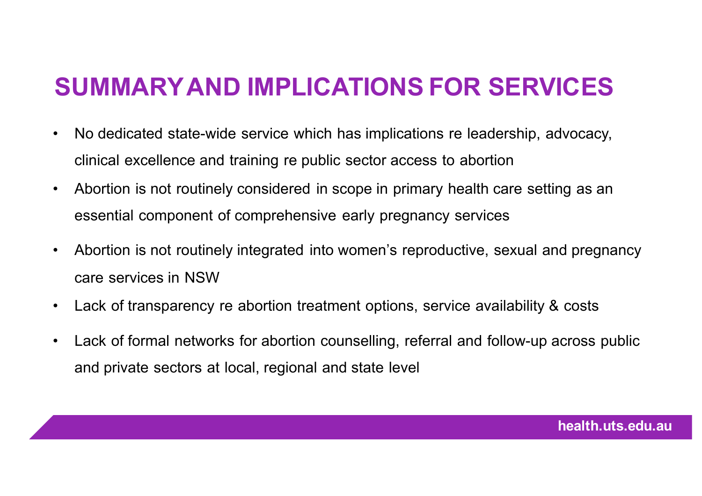## **SUMMARY AND IMPLICATIONS FOR SERVICES**

- No dedicated state-wide service which has implications re leadership, advocacy, clinical excellence and training re public sector access to abortion
- Abortion is not routinely considered in scope in primary health care setting as an essential component of comprehensive early pregnancy services
- Abortion is not routinely integrated into women's reproductive, sexual and pregnancy care services in NSW
- Lack of transparency re abortion treatment options, service availability & costs
- Lack of formal networks for abortion counselling, referral and follow-up across public and private sectors at local, regional and state level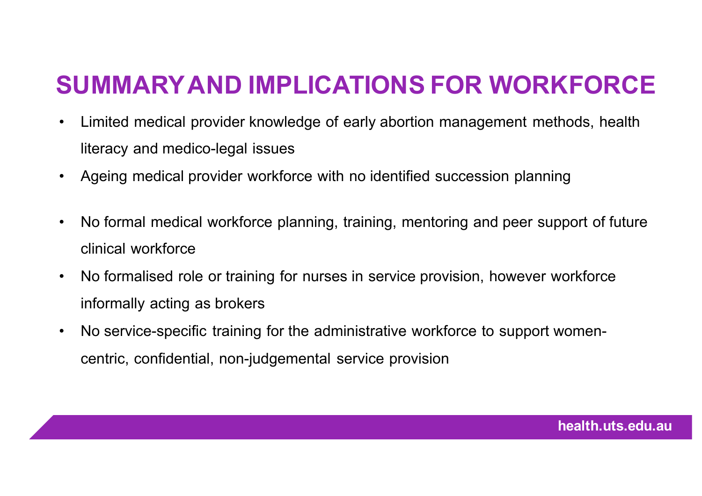### **SUMMARY AND IMPLICATIONS FOR WORKFORCE**

- Limited medical provider knowledge of early abortion management methods, health literacy and medico-legal issues
- Ageing medical provider workforce with no identified succession planning
- No formal medical workforce planning, training, mentoring and peer support of future clinical workforce
- No formalised role or training for nurses in service provision, however workforce informally acting as brokers
- No service-specific training for the administrative workforce to support womencentric, confidential, non-judgemental service provision